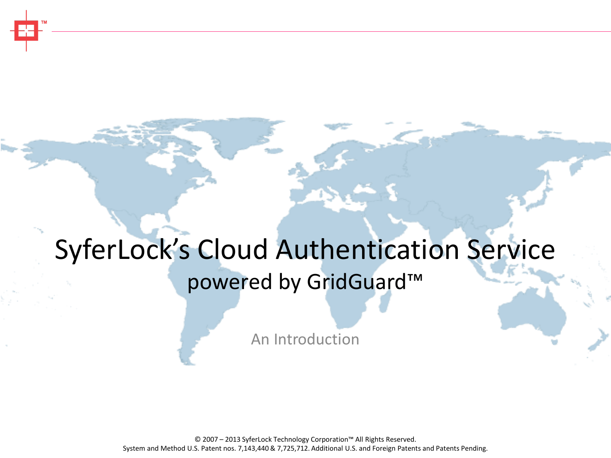# SyferLock's Cloud Authentication Service powered by GridGuard™

An Introduction

© 2007 – 2013 SyferLock Technology Corporation™ All Rights Reserved. System and Method U.S. Patent nos. 7,143,440 & 7,725,712. Additional U.S. and Foreign Patents and Patents Pending.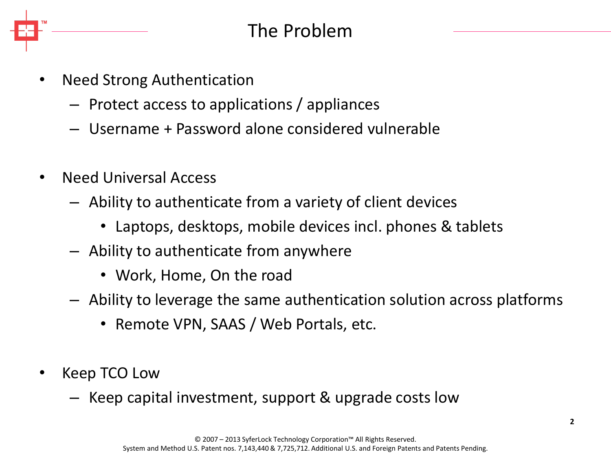

- Need Strong Authentication
	- Protect access to applications / appliances
	- Username + Password alone considered vulnerable
- Need Universal Access
	- Ability to authenticate from a variety of client devices
		- Laptops, desktops, mobile devices incl. phones & tablets
	- Ability to authenticate from anywhere
		- Work, Home, On the road
	- Ability to leverage the same authentication solution across platforms
		- Remote VPN, SAAS / Web Portals, etc.
- Keep TCO Low
	- Keep capital investment, support & upgrade costs low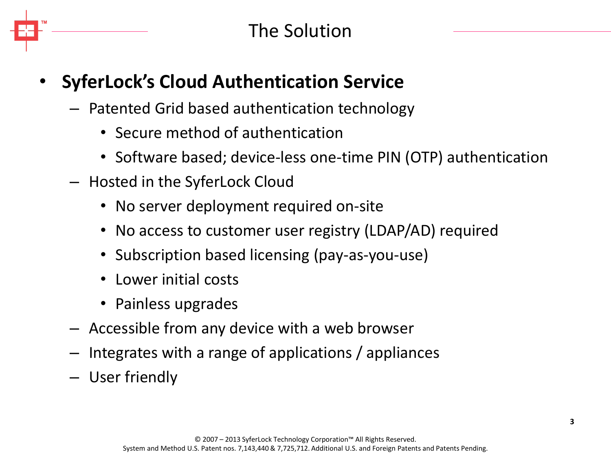# • **SyferLock's Cloud Authentication Service**

- Patented Grid based authentication technology
	- Secure method of authentication
	- Software based; device-less one-time PIN (OTP) authentication
- Hosted in the SyferLock Cloud
	- No server deployment required on-site
	- No access to customer user registry (LDAP/AD) required
	- Subscription based licensing (pay-as-you-use)
	- Lower initial costs
	- Painless upgrades
- Accessible from any device with a web browser
- Integrates with a range of applications / appliances
- User friendly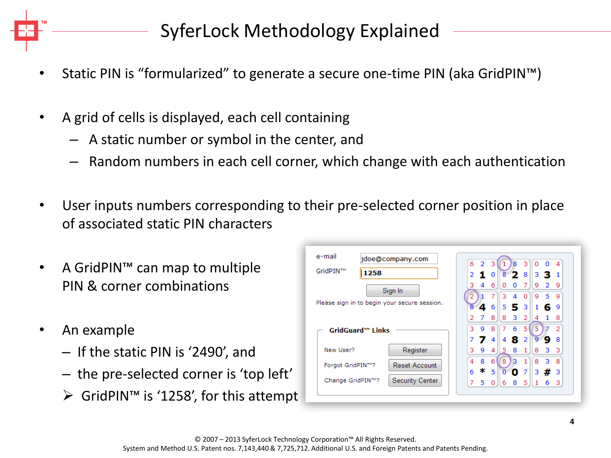SyferLock Methodology Explained

- Static PIN is "formularized" to generate a secure one-time PIN (aka GridPIN™)
- A grid of cells is displayed, each cell containing
	- A static number or symbol in the center, and
	- Random numbers in each cell corner, which change with each authentication
- User inputs numbers corresponding to their pre-selected corner position in place of associated static PIN characters
- A GridPIN™ can map to multiple PIN & corner combinations
- An example
	- If the static PIN is '2490', and
	- the pre-selected corner is 'top left'
	- $\triangleright$  GridPIN<sup>™</sup> is '1258', for this attempt

| 6                     | 2  | з        |          | 8  | з        | $\Omega$ | 0              |    |
|-----------------------|----|----------|----------|----|----------|----------|----------------|----|
|                       | т. | 0        | 8        | 2. | 8        |          | 3 B.           |    |
| з                     | 4  | 6        | O        | o  | 7        | 9        | $\overline{2}$ | 9  |
|                       |    |          | 3        | 4  | $\Omega$ | 9        | 5              | 9  |
|                       | 4  | 6        | 5        | 5  | 3        | 1        | 6              | 9  |
| 2                     | 7  | 8        | 8        | 3  | 2        | 4        | 1              | 8  |
| з                     | 9  | 8        | 7        | 6  | 5        |          |                | 2  |
|                       | 7  | 4        | 4        | 8  | 2        | ٩        | g              | 8  |
| з                     | 9  | 4        | 5        | 8  | 1        | 8        | 3              | з  |
| $\boldsymbol{\Delta}$ | 8  | 6        | 8        | з  |          | 8        | 3              | 8  |
| 6                     | ∗  | 5        | $\Omega$ |    | 7        | з        |                | -3 |
| 7                     | 5  | $\Omega$ | 6        | 8  | 5        | 1        | 6              | з  |
|                       |    |          |          |    |          | 0.       |                | #  |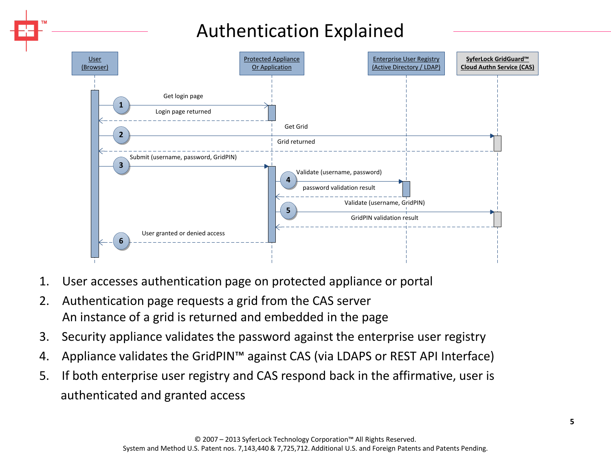# Authentication Explained



- 1. User accesses authentication page on protected appliance or portal
- 2. Authentication page requests a grid from the CAS server An instance of a grid is returned and embedded in the page
- 3. Security appliance validates the password against the enterprise user registry
- 4. Appliance validates the GridPIN™ against CAS (via LDAPS or REST API Interface)
- 5. If both enterprise user registry and CAS respond back in the affirmative, user is authenticated and granted access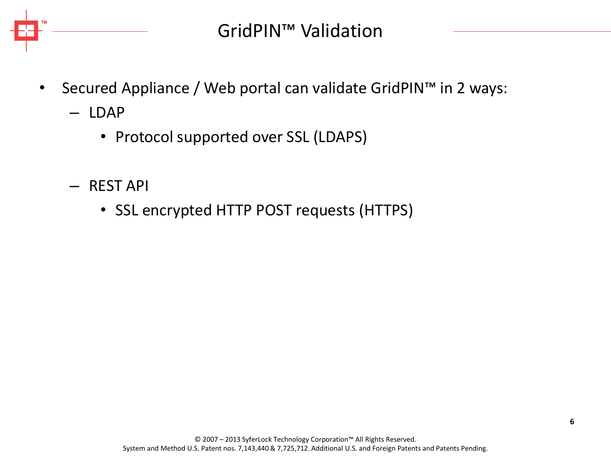

- Secured Appliance / Web portal can validate GridPIN™ in 2 ways:
	- LDAP
		- Protocol supported over SSL (LDAPS)
	- REST API
		- SSL encrypted HTTP POST requests (HTTPS)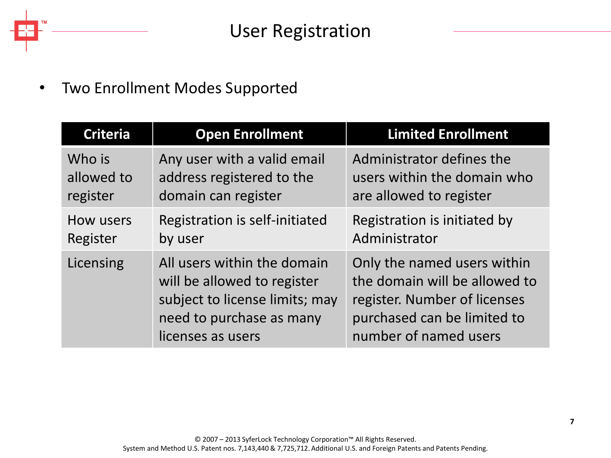#### • Two Enrollment Modes Supported

| <b>Criteria</b> | <b>Open Enrollment</b>                                                                                                                        | <b>Limited Enrollment</b>                                                                                                                            |
|-----------------|-----------------------------------------------------------------------------------------------------------------------------------------------|------------------------------------------------------------------------------------------------------------------------------------------------------|
| Who is          | Any user with a valid email                                                                                                                   | Administrator defines the                                                                                                                            |
| allowed to      | address registered to the                                                                                                                     | users within the domain who                                                                                                                          |
| register        | domain can register                                                                                                                           | are allowed to register                                                                                                                              |
| How users       | Registration is self-initiated                                                                                                                | Registration is initiated by                                                                                                                         |
| Register        | by user                                                                                                                                       | Administrator                                                                                                                                        |
| Licensing       | All users within the domain<br>will be allowed to register<br>subject to license limits; may<br>need to purchase as many<br>licenses as users | Only the named users within<br>the domain will be allowed to<br>register. Number of licenses<br>purchased can be limited to<br>number of named users |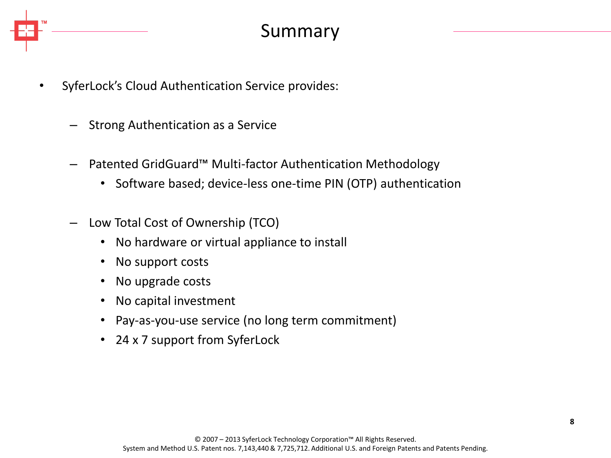

- SyferLock's Cloud Authentication Service provides:
	- Strong Authentication as a Service
	- Patented GridGuard™ Multi-factor Authentication Methodology
		- Software based; device-less one-time PIN (OTP) authentication
	- Low Total Cost of Ownership (TCO)
		- No hardware or virtual appliance to install
		- No support costs
		- No upgrade costs
		- No capital investment
		- Pay-as-you-use service (no long term commitment)
		- 24 x 7 support from SyferLock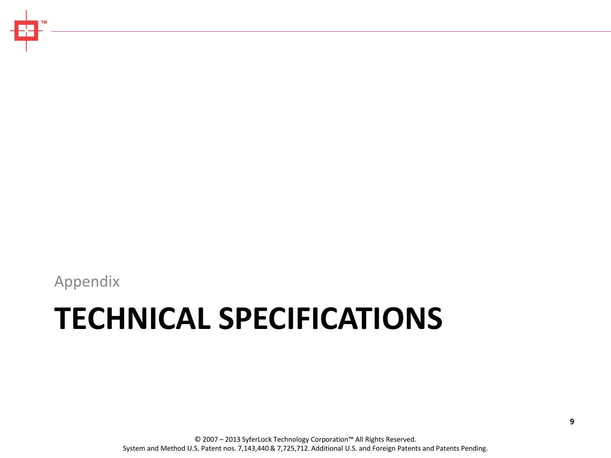Appendix

# **TECHNICAL SPECIFICATIONS**

© 2007 – 2013 SyferLock Technology Corporation™ All Rights Reserved. System and Method U.S. Patent nos. 7,143,440 & 7,725,712. Additional U.S. and Foreign Patents and Patents Pending.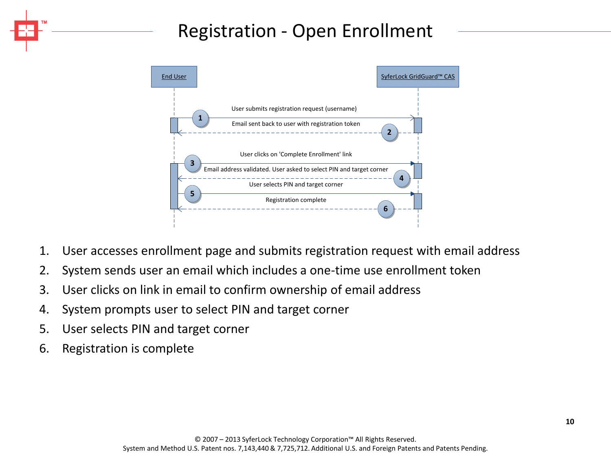# Registration - Open Enrollment



- 1. User accesses enrollment page and submits registration request with email address
- 2. System sends user an email which includes a one-time use enrollment token
- 3. User clicks on link in email to confirm ownership of email address
- 4. System prompts user to select PIN and target corner
- 5. User selects PIN and target corner
- 6. Registration is complete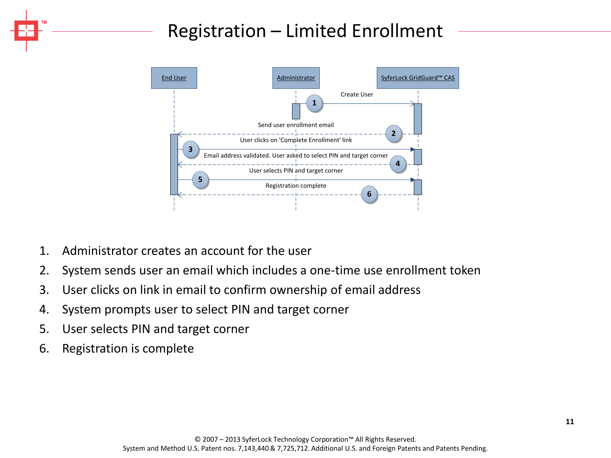# Registration – Limited Enrollment



- 1. Administrator creates an account for the user
- 2. System sends user an email which includes a one-time use enrollment token
- 3. User clicks on link in email to confirm ownership of email address
- 4. System prompts user to select PIN and target corner
- 5. User selects PIN and target corner
- 6. Registration is complete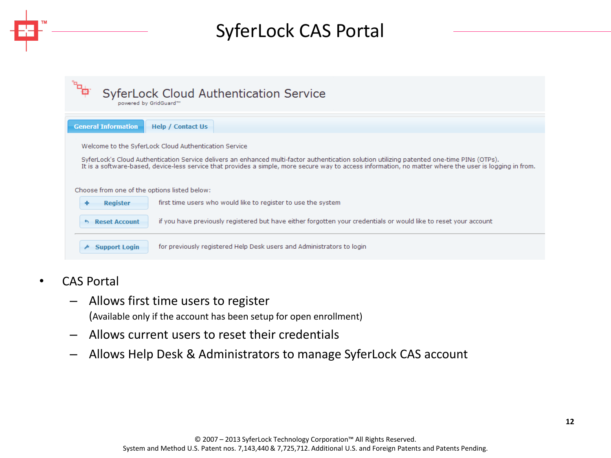# SyferLock CAS Portal

|                                              | <b>SyferLock Cloud Authentication Service</b>                                                                                                           |
|----------------------------------------------|---------------------------------------------------------------------------------------------------------------------------------------------------------|
| powered by GridGuard™                        |                                                                                                                                                         |
|                                              |                                                                                                                                                         |
| <b>General Information</b>                   | <b>Help / Contact Us</b>                                                                                                                                |
|                                              | Welcome to the SyferLock Cloud Authentication Service                                                                                                   |
|                                              | SyferLock's Cloud Authentication Service delivers an enhanced multi-factor authentication solution utilizing patented one-time PINs (OTPs).             |
|                                              | It is a software-based, device-less service that provides a simple, more secure way to access information, no matter where the user is logging in from. |
|                                              |                                                                                                                                                         |
| Choose from one of the options listed below: |                                                                                                                                                         |
| <b>Register</b>                              | first time users who would like to register to use the system                                                                                           |
| <b>Reset Account</b><br>$\sim$               | if you have previously registered but have either forgotten your credentials or would like to reset your account                                        |
|                                              |                                                                                                                                                         |
| <b>Support Login</b>                         | for previously registered Help Desk users and Administrators to login                                                                                   |
|                                              |                                                                                                                                                         |

- CAS Portal
	- Allows first time users to register (Available only if the account has been setup for open enrollment)
	- Allows current users to reset their credentials
	- Allows Help Desk & Administrators to manage SyferLock CAS account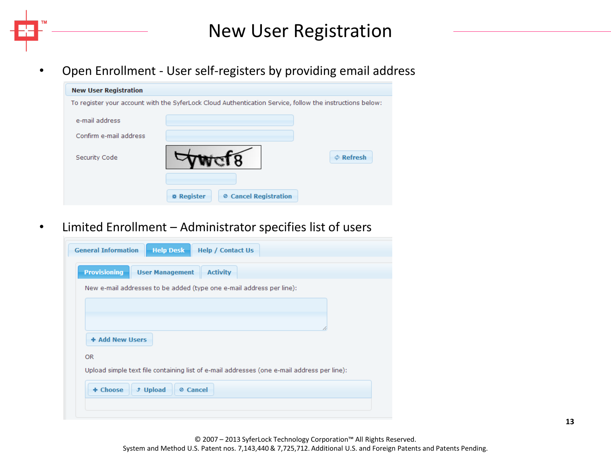New User Registration

• Open Enrollment - User self-registers by providing email address

| <b>New User Registration</b> |                                                                                                          |                |
|------------------------------|----------------------------------------------------------------------------------------------------------|----------------|
|                              | To register your account with the SyferLock Cloud Authentication Service, follow the instructions below: |                |
| e-mail address               |                                                                                                          |                |
| Confirm e-mail address       |                                                                                                          |                |
| Security Code                |                                                                                                          | $\Phi$ Refresh |
|                              | <b>Ø Cancel Registration</b><br><b>* Register</b>                                                        |                |
|                              |                                                                                                          |                |

• Limited Enrollment – Administrator specifies list of users

|                 | New e-mail addresses to be added (type one e-mail address per line):                       |
|-----------------|--------------------------------------------------------------------------------------------|
|                 |                                                                                            |
|                 |                                                                                            |
|                 |                                                                                            |
| + Add New Users |                                                                                            |
|                 |                                                                                            |
| <b>OR</b>       |                                                                                            |
|                 | Upload simple text file containing list of e-mail addresses (one e-mail address per line): |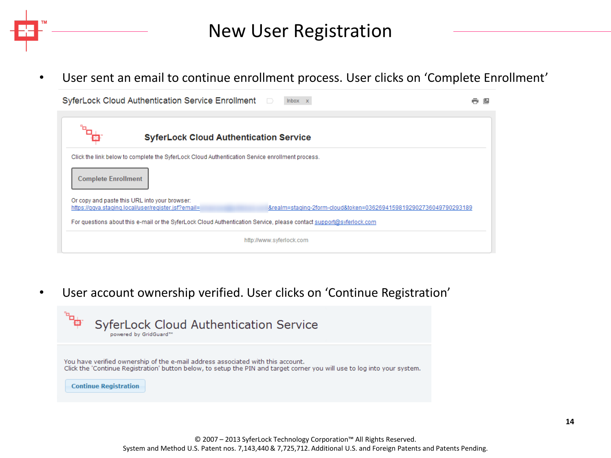New User Registration

• User sent an email to continue enrollment process. User clicks on 'Complete Enrollment'

|                            | SyferLock Cloud Authentication Service Enrollment                                                                   | Inbox x                                                           | e<br>$\overline{z}$ |
|----------------------------|---------------------------------------------------------------------------------------------------------------------|-------------------------------------------------------------------|---------------------|
|                            |                                                                                                                     |                                                                   |                     |
|                            | <b>SyferLock Cloud Authentication Service</b>                                                                       |                                                                   |                     |
|                            | Click the link below to complete the SyferLock Cloud Authentication Service enrollment process.                     |                                                                   |                     |
| <b>Complete Enrollment</b> |                                                                                                                     |                                                                   |                     |
|                            | Or copy and paste this URL into your browser:<br>https://ggva.staging.local/user/register.jsf?email=                | &realm=staging-2form-cloud&token=03626941598192902736049790293189 |                     |
|                            | For questions about this e-mail or the SyferLock Cloud Authentication Service, please contact support@syferlock.com |                                                                   |                     |
|                            |                                                                                                                     | http://www.syferlock.com                                          |                     |

• User account ownership verified. User clicks on 'Continue Registration'

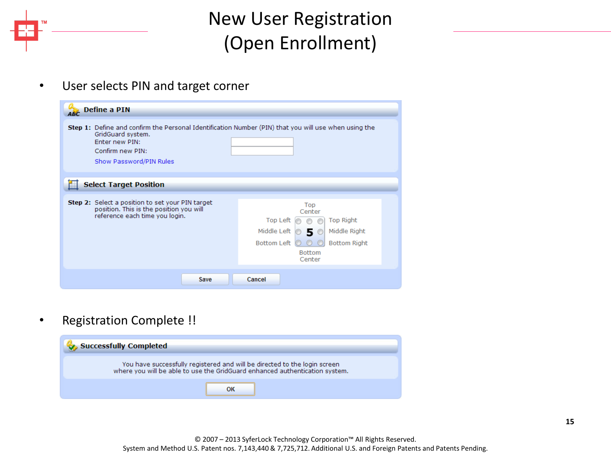# New User Registration (Open Enrollment)

• User selects PIN and target corner

| Define a PIN                                                                                                                                                                                      |                                                                                                                                                                       |
|---------------------------------------------------------------------------------------------------------------------------------------------------------------------------------------------------|-----------------------------------------------------------------------------------------------------------------------------------------------------------------------|
| <b>Step 1:</b> Define and confirm the Personal Identification Number (PIN) that you will use when using the<br>GridGuard system.<br>Fnter new PIN:<br>Confirm new PIN:<br>Show Password/PIN Rules |                                                                                                                                                                       |
| <b>Select Target Position</b>                                                                                                                                                                     |                                                                                                                                                                       |
|                                                                                                                                                                                                   |                                                                                                                                                                       |
| <b>Step 2:</b> Select a position to set your PIN target<br>position. This is the position you will<br>reference each time you login.                                                              | Top<br>Center<br><b>Top Right</b><br>Top Left<br>Middle Left<br>Middle Right<br>5.<br>$\circ$<br><b>Bottom Right</b><br><b>Bottom Left</b><br><b>Bottom</b><br>Center |
| Save                                                                                                                                                                                              | Cancel                                                                                                                                                                |

• Registration Complete !!

| <b>Successfully Completed</b>                                                                                                                            |
|----------------------------------------------------------------------------------------------------------------------------------------------------------|
| You have successfully registered and will be directed to the login screen<br>where you will be able to use the GridGuard enhanced authentication system. |
|                                                                                                                                                          |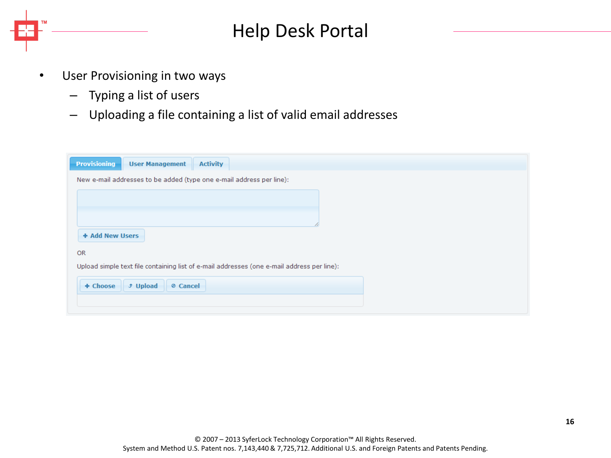Help Desk Portal

- User Provisioning in two ways
	- Typing a list of users
	- Uploading a file containing a list of valid email addresses

| <b>Provisioning</b>                                                  | <b>User Management</b>      | <b>Activity</b>                                                                            |  |  |  |
|----------------------------------------------------------------------|-----------------------------|--------------------------------------------------------------------------------------------|--|--|--|
| New e-mail addresses to be added (type one e-mail address per line): |                             |                                                                                            |  |  |  |
|                                                                      |                             |                                                                                            |  |  |  |
|                                                                      |                             |                                                                                            |  |  |  |
| + Add New Users                                                      |                             |                                                                                            |  |  |  |
| <b>OR</b>                                                            |                             |                                                                                            |  |  |  |
|                                                                      |                             | Upload simple text file containing list of e-mail addresses (one e-mail address per line): |  |  |  |
| + Choose                                                             | <b>J</b> Upload<br>⊘ Cancel |                                                                                            |  |  |  |
|                                                                      |                             |                                                                                            |  |  |  |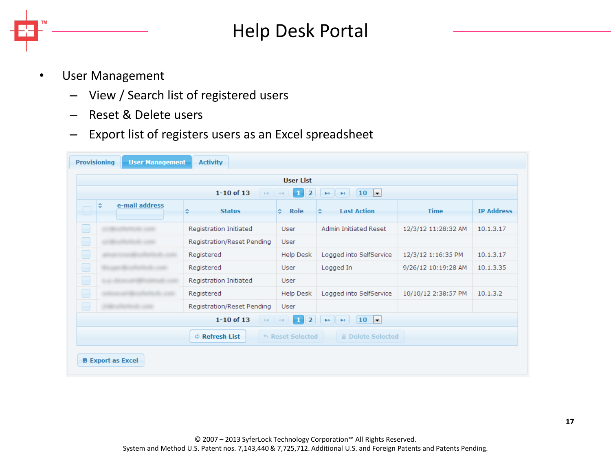

# Help Desk Portal

- User Management
	- View / Search list of registered users
	- Reset & Delete users
	- Export list of registers users as an Excel spreadsheet

|                                                                                                                                                              | <b>User List</b>                                                                              |                |            |                            |                         |                         |                     |                   |
|--------------------------------------------------------------------------------------------------------------------------------------------------------------|-----------------------------------------------------------------------------------------------|----------------|------------|----------------------------|-------------------------|-------------------------|---------------------|-------------------|
| $1 - 10$ of 13<br>10<br>$\vert \cdot \vert$<br>$\overline{2}$<br>$\mathbf{1}$<br>$\mathbb{H}^2$ .<br>$\blacktriangleright$<br>$\blacktriangleright$ (<br>$<$ |                                                                                               |                |            |                            |                         |                         |                     |                   |
| ⊟                                                                                                                                                            | ÷.                                                                                            | e-mail address | ≎          | <b>Status</b>              | <b>Role</b><br>٠        | <b>Last Action</b><br>≎ | <b>Time</b>         | <b>IP Address</b> |
| ۰                                                                                                                                                            |                                                                                               |                |            | Registration Initiated     | User                    | Admin Initiated Reset   | 12/3/12 11:28:32 AM | 10.1.3.17         |
| ۰                                                                                                                                                            |                                                                                               |                |            | Registration/Reset Pending | <b>User</b>             |                         |                     |                   |
|                                                                                                                                                              |                                                                                               |                | Registered |                            | Help Desk               | Logged into SelfService | 12/3/12 1:16:35 PM  | 10.1.3.17         |
|                                                                                                                                                              |                                                                                               |                | Registered |                            | User                    | Logged In               | 9/26/12 10:19:28 AM | 10.1.3.35         |
|                                                                                                                                                              |                                                                                               |                |            | Registration Initiated     | User                    |                         |                     |                   |
|                                                                                                                                                              |                                                                                               |                | Registered |                            | Help Desk               | Logged into SelfService | 10/10/12 2:38:57 PM | 10.1.3.2          |
| E                                                                                                                                                            |                                                                                               |                |            | Registration/Reset Pending | User                    |                         |                     |                   |
|                                                                                                                                                              | $\overline{2}$<br>$1 - 10$ of 13<br>10<br><b>Iv</b><br>-1<br><b>BS</b><br>$1 - 1$<br><b>H</b> |                |            |                            |                         |                         |                     |                   |
|                                                                                                                                                              |                                                                                               |                |            | <b>¢</b> Refresh List      | <b>6 Reset Selected</b> | 而 Delete Selected       |                     |                   |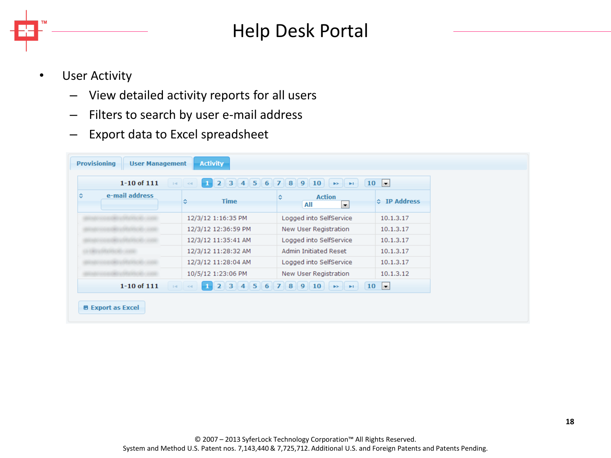

# Help Desk Portal

- User Activity
	- View detailed activity reports for all users
	- Filters to search by user e-mail address
	- Export data to Excel spreadsheet

| $1 - 10$ of $111$   | 2 3 4 5 6 7 8 9 10<br>$\vert$ 1 $\vert$<br>$14$ $-4$ | $\blacktriangleright$ $\blacktriangleright$ $\blacktriangleright$ $\blacktriangleright$ $\blacktriangleright$ | 10<br>$\vert \mathbf{r} \vert$ |
|---------------------|------------------------------------------------------|---------------------------------------------------------------------------------------------------------------|--------------------------------|
| e-mail address<br>٠ | <b>Time</b><br>٥                                     | <b>Action</b><br>≎<br>All<br>le.                                                                              | ☆ IP Address                   |
|                     | 12/3/12 1:16:35 PM                                   | Logged into SelfService                                                                                       | 10.1.3.17                      |
|                     | 12/3/12 12:36:59 PM                                  | New User Registration                                                                                         | 10.1.3.17                      |
|                     | 12/3/12 11:35:41 AM                                  | Logged into SelfService                                                                                       | 10.1.3.17                      |
|                     | 12/3/12 11:28:32 AM                                  | Admin Initiated Reset                                                                                         | 10.1.3.17                      |
|                     | 12/3/12 11:28:04 AM                                  | Logged into SelfService                                                                                       | 10.1.3.17                      |
|                     | 10/5/12 1:23:06 PM                                   | New User Registration                                                                                         | 10.1.3.12                      |
| $1 - 10$ of $111$   | $2$ 3 4 5 6 7 8 9 10<br>$14$ $-4$<br>æ               | <b>EXICUTE</b>                                                                                                | 10<br>$\vert \mathbf{r} \vert$ |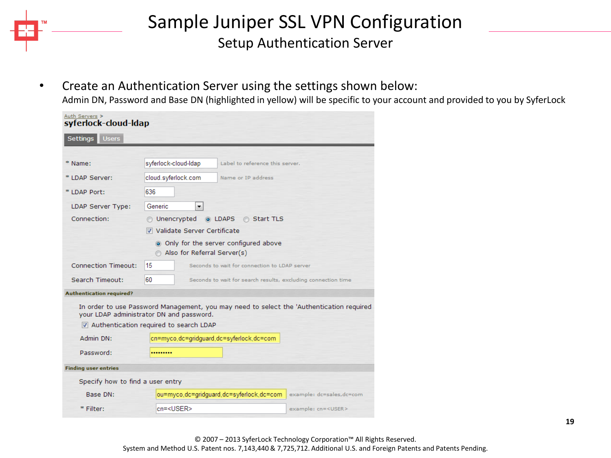

#### Sample Juniper SSL VPN Configuration Setup Authentication Server

• Create an Authentication Server using the settings shown below:

Admin DN, Password and Base DN (highlighted in yellow) will be specific to your account and provided to you by SyferLock

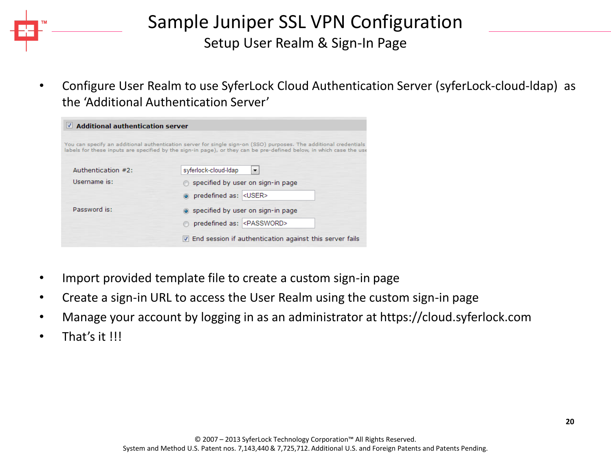### Sample Juniper SSL VPN Configuration Setup User Realm & Sign-In Page

• Configure User Realm to use SyferLock Cloud Authentication Server (syferLock-cloud-ldap) as the 'Additional Authentication Server'

| $\vee$ Additional authentication server |                                                                                                                                                                                                                                          |
|-----------------------------------------|------------------------------------------------------------------------------------------------------------------------------------------------------------------------------------------------------------------------------------------|
|                                         | You can specify an additional authentication server for single sign-on (SSO) purposes. The additional credentials<br>labels for these inputs are specified by the sign-in page), or they can be pre-defined below, in which case the use |
| Authentication #2:                      | syferlock-cloud-Idap<br>▼                                                                                                                                                                                                                |
| Username is:                            | ◯ specified by user on sign-in page                                                                                                                                                                                                      |
|                                         | o predefined as: < USER>                                                                                                                                                                                                                 |
| Password is:                            | specified by user on sign-in page                                                                                                                                                                                                        |
|                                         | predefined as: <password></password>                                                                                                                                                                                                     |
|                                         | T End session if authentication against this server fails                                                                                                                                                                                |

- Import provided template file to create a custom sign-in page
- Create a sign-in URL to access the User Realm using the custom sign-in page
- Manage your account by logging in as an administrator at https://cloud.syferlock.com
- That's it !!!